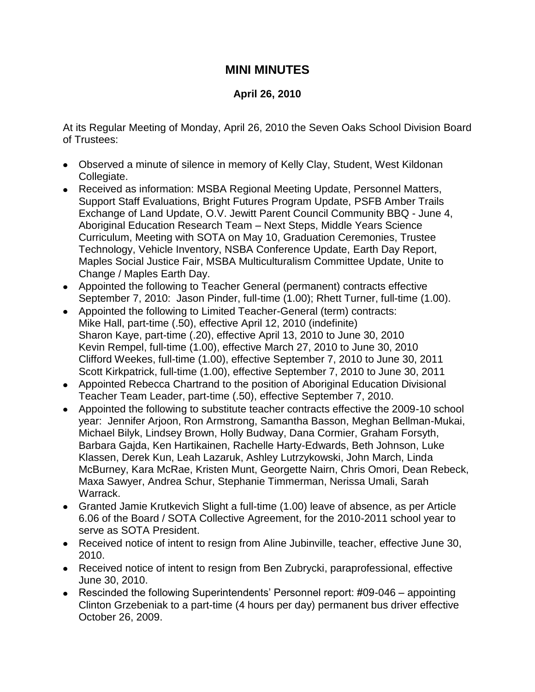## **MINI MINUTES**

## **April 26, 2010**

At its Regular Meeting of Monday, April 26, 2010 the Seven Oaks School Division Board of Trustees:

- Observed a minute of silence in memory of Kelly Clay, Student, West Kildonan Collegiate.
- Received as information: MSBA Regional Meeting Update, Personnel Matters, Support Staff Evaluations, Bright Futures Program Update, PSFB Amber Trails Exchange of Land Update, O.V. Jewitt Parent Council Community BBQ - June 4, Aboriginal Education Research Team – Next Steps, Middle Years Science Curriculum, Meeting with SOTA on May 10, Graduation Ceremonies, Trustee Technology, Vehicle Inventory, NSBA Conference Update, Earth Day Report, Maples Social Justice Fair, MSBA Multiculturalism Committee Update, Unite to Change / Maples Earth Day.
- Appointed the following to Teacher General (permanent) contracts effective September 7, 2010: Jason Pinder, full-time (1.00); Rhett Turner, full-time (1.00).
- Appointed the following to Limited Teacher-General (term) contracts: Mike Hall, part-time (.50), effective April 12, 2010 (indefinite) Sharon Kaye, part-time (.20), effective April 13, 2010 to June 30, 2010 Kevin Rempel, full-time (1.00), effective March 27, 2010 to June 30, 2010 Clifford Weekes, full-time (1.00), effective September 7, 2010 to June 30, 2011 Scott Kirkpatrick, full-time (1.00), effective September 7, 2010 to June 30, 2011
- Appointed Rebecca Chartrand to the position of Aboriginal Education Divisional Teacher Team Leader, part-time (.50), effective September 7, 2010.
- Appointed the following to substitute teacher contracts effective the 2009-10 school year: Jennifer Arjoon, Ron Armstrong, Samantha Basson, Meghan Bellman-Mukai, Michael Bilyk, Lindsey Brown, Holly Budway, Dana Cormier, Graham Forsyth, Barbara Gajda, Ken Hartikainen, Rachelle Harty-Edwards, Beth Johnson, Luke Klassen, Derek Kun, Leah Lazaruk, Ashley Lutrzykowski, John March, Linda McBurney, Kara McRae, Kristen Munt, Georgette Nairn, Chris Omori, Dean Rebeck, Maxa Sawyer, Andrea Schur, Stephanie Timmerman, Nerissa Umali, Sarah Warrack.
- Granted Jamie Krutkevich Slight a full-time (1.00) leave of absence, as per Article 6.06 of the Board / SOTA Collective Agreement, for the 2010-2011 school year to serve as SOTA President.
- Received notice of intent to resign from Aline Jubinville, teacher, effective June 30, 2010.
- Received notice of intent to resign from Ben Zubrycki, paraprofessional, effective June 30, 2010.
- Rescinded the following Superintendents' Personnel report: #09-046 appointing Clinton Grzebeniak to a part-time (4 hours per day) permanent bus driver effective October 26, 2009.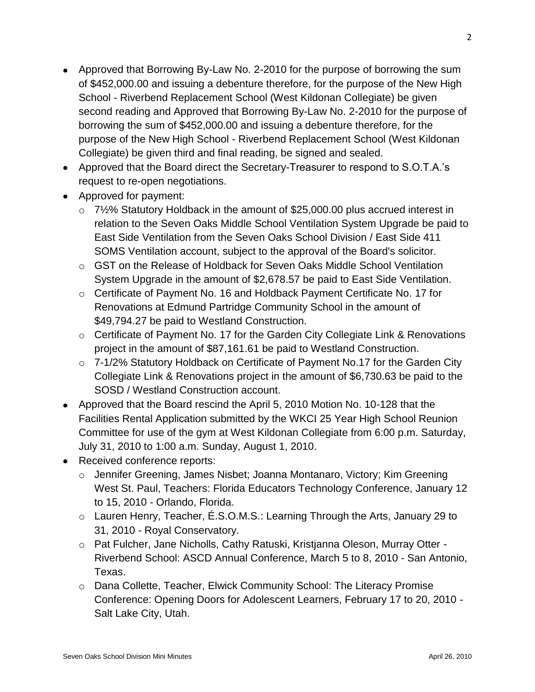- Approved that Borrowing By-Law No. 2-2010 for the purpose of borrowing the sum of \$452,000.00 and issuing a debenture therefore, for the purpose of the New High School - Riverbend Replacement School (West Kildonan Collegiate) be given second reading and Approved that Borrowing By-Law No. 2-2010 for the purpose of borrowing the sum of \$452,000.00 and issuing a debenture therefore, for the purpose of the New High School - Riverbend Replacement School (West Kildonan Collegiate) be given third and final reading, be signed and sealed.
- Approved that the Board direct the Secretary-Treasurer to respond to S.O.T.A.'s request to re-open negotiations.
- Approved for payment:
	- $\circ$  7½% Statutory Holdback in the amount of \$25,000.00 plus accrued interest in relation to the Seven Oaks Middle School Ventilation System Upgrade be paid to East Side Ventilation from the Seven Oaks School Division / East Side 411 SOMS Ventilation account, subject to the approval of the Board's solicitor.
	- o GST on the Release of Holdback for Seven Oaks Middle School Ventilation System Upgrade in the amount of \$2,678.57 be paid to East Side Ventilation.
	- o Certificate of Payment No. 16 and Holdback Payment Certificate No. 17 for Renovations at Edmund Partridge Community School in the amount of \$49,794.27 be paid to Westland Construction.
	- $\circ$  Certificate of Payment No. 17 for the Garden City Collegiate Link & Renovations project in the amount of \$87,161.61 be paid to Westland Construction.
	- o 7-1/2% Statutory Holdback on Certificate of Payment No.17 for the Garden City Collegiate Link & Renovations project in the amount of \$6,730.63 be paid to the SOSD / Westland Construction account.
- Approved that the Board rescind the April 5, 2010 Motion No. 10-128 that the Facilities Rental Application submitted by the WKCI 25 Year High School Reunion Committee for use of the gym at West Kildonan Collegiate from 6:00 p.m. Saturday, July 31, 2010 to 1:00 a.m. Sunday, August 1, 2010.
- Received conference reports:
	- o Jennifer Greening, James Nisbet; Joanna Montanaro, Victory; Kim Greening West St. Paul, Teachers: Florida Educators Technology Conference, January 12 to 15, 2010 - Orlando, Florida.
	- o Lauren Henry, Teacher, É.S.O.M.S.: Learning Through the Arts, January 29 to 31, 2010 - Royal Conservatory.
	- o Pat Fulcher, Jane Nicholls, Cathy Ratuski, Kristjanna Oleson, Murray Otter Riverbend School: ASCD Annual Conference, March 5 to 8, 2010 - San Antonio, Texas.
	- o Dana Collette, Teacher, Elwick Community School: The Literacy Promise Conference: Opening Doors for Adolescent Learners, February 17 to 20, 2010 - Salt Lake City, Utah.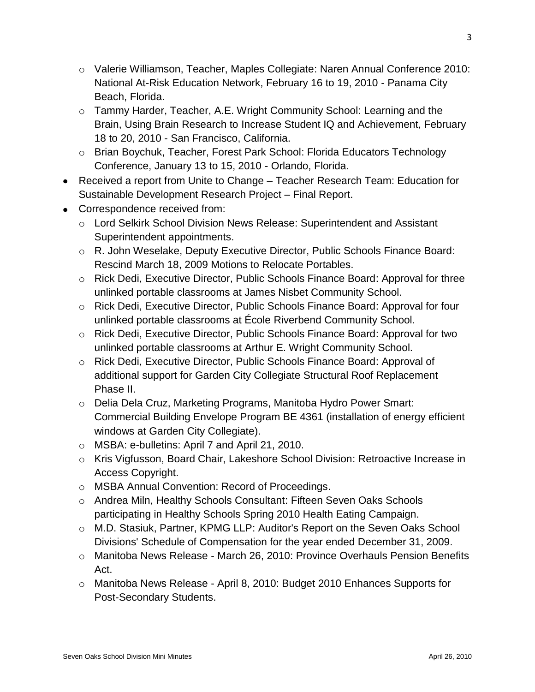- o Valerie Williamson, Teacher, Maples Collegiate: Naren Annual Conference 2010: National At-Risk Education Network, February 16 to 19, 2010 - Panama City Beach, Florida.
- o Tammy Harder, Teacher, A.E. Wright Community School: Learning and the Brain, Using Brain Research to Increase Student IQ and Achievement, February 18 to 20, 2010 - San Francisco, California.
- o Brian Boychuk, Teacher, Forest Park School: Florida Educators Technology Conference, January 13 to 15, 2010 - Orlando, Florida.
- Received a report from Unite to Change Teacher Research Team: Education for Sustainable Development Research Project – Final Report.
- Correspondence received from:
	- o Lord Selkirk School Division News Release: Superintendent and Assistant Superintendent appointments.
	- o R. John Weselake, Deputy Executive Director, Public Schools Finance Board: Rescind March 18, 2009 Motions to Relocate Portables.
	- o Rick Dedi, Executive Director, Public Schools Finance Board: Approval for three unlinked portable classrooms at James Nisbet Community School.
	- o Rick Dedi, Executive Director, Public Schools Finance Board: Approval for four unlinked portable classrooms at École Riverbend Community School.
	- o Rick Dedi, Executive Director, Public Schools Finance Board: Approval for two unlinked portable classrooms at Arthur E. Wright Community School.
	- o Rick Dedi, Executive Director, Public Schools Finance Board: Approval of additional support for Garden City Collegiate Structural Roof Replacement Phase II.
	- o Delia Dela Cruz, Marketing Programs, Manitoba Hydro Power Smart: Commercial Building Envelope Program BE 4361 (installation of energy efficient windows at Garden City Collegiate).
	- o MSBA: e-bulletins: April 7 and April 21, 2010.
	- o Kris Vigfusson, Board Chair, Lakeshore School Division: Retroactive Increase in Access Copyright.
	- o MSBA Annual Convention: Record of Proceedings.
	- o Andrea Miln, Healthy Schools Consultant: Fifteen Seven Oaks Schools participating in Healthy Schools Spring 2010 Health Eating Campaign.
	- o M.D. Stasiuk, Partner, KPMG LLP: Auditor's Report on the Seven Oaks School Divisions' Schedule of Compensation for the year ended December 31, 2009.
	- o Manitoba News Release March 26, 2010: Province Overhauls Pension Benefits Act.
	- o Manitoba News Release April 8, 2010: Budget 2010 Enhances Supports for Post-Secondary Students.